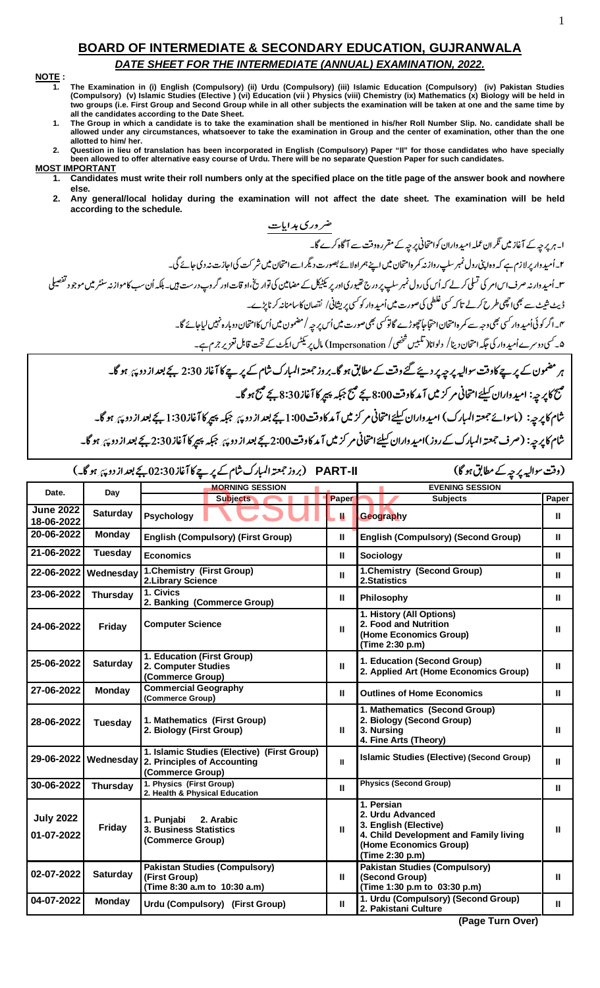## **BOARD OF INTERMEDIATE & SECONDARY EDUCATION, GUJRANWALA** DATE SHEET FOR THE INTERMEDIATE (ANNUAL) EXAMINATION, 2022.

## NOTE:

- The Examination in (i) English (Compulsory) (ii) Urdu (Compulsory) (iii) Islamic Education (Compulsory) (iv) Pakistan Studies<br>(Compulsory) (v) Islamic Studies (Elective ) (vi) Education (vii ) Physics (viii) Chemistry (ix)  $\mathbf{1}$ two groups (i.e. First Group and Second Group while in all other subjects the examination will be taken at one and the same time by all the candidates according to the Date Sheet.
- The Group in which a candidate is to take the examination shall be mentioned in his/her Roll Number Slip. No. candidate shall be  $\mathbf{1}$ allowed under any circumstances, whatsoever to take the examination in Group and the center of examination, other than the one allotted to him/ her.
- Question in lieu of translation has been incorporated in English (Compulsory) Paper "Il" for those candidates who have specially<br>been allowed to offer alternative easy course of Urdu. There will be no separate Question Pap  $2.$
- **MOST IMPORTANT** Candidates must write their roll numbers only at the specified place on the title page of the answer book and nowhere 1. else.
	- $2.$ Any general/local holiday during the examination will not affect the date sheet. The examination will be held according to the schedule.

| PART-II         (بروز جمعتہ المبارک شام کے پر پے کا آغاز 30:30 بجے بعد از دو پہ ہو گا۔)<br>(وقت سواليہ پر چہ کے مطابق ہو گا) |                      |                                                                                                |       |                                                                                                                                                |              |  |
|------------------------------------------------------------------------------------------------------------------------------|----------------------|------------------------------------------------------------------------------------------------|-------|------------------------------------------------------------------------------------------------------------------------------------------------|--------------|--|
| Date.                                                                                                                        | Day                  | <b>MORNING SESSION</b>                                                                         |       | <b>EVENING SESSION</b>                                                                                                                         |              |  |
|                                                                                                                              |                      | <b>Subjects</b>                                                                                | Paper | <b>Subjects</b>                                                                                                                                | Paper        |  |
| <b>June 2022</b><br>18-06-2022                                                                                               | <b>Saturday</b>      | <b>Psychology</b>                                                                              | Ш     | Geography                                                                                                                                      | Ш            |  |
| 20-06-2022                                                                                                                   | <b>Monday</b>        | <b>English (Compulsory) (First Group)</b>                                                      |       | <b>English (Compulsory) (Second Group)</b>                                                                                                     |              |  |
| 21-06-2022                                                                                                                   | Tuesday              | <b>Economics</b>                                                                               |       | <b>Sociology</b>                                                                                                                               |              |  |
| 22-06-2022                                                                                                                   | Wednesday            | 1. Chemistry (First Group)<br>2. Library Science                                               |       | 1. Chemistry (Second Group)<br>2.Statistics                                                                                                    |              |  |
| 23-06-2022                                                                                                                   | <b>Thursday</b>      | 1. Civics<br>2. Banking (Commerce Group)                                                       |       | Philosophy                                                                                                                                     |              |  |
| 24-06-2022                                                                                                                   | Friday               | <b>Computer Science</b>                                                                        |       | 1. History (All Options)<br>2. Food and Nutrition<br>(Home Economics Group)<br>(Time 2:30 p.m)                                                 |              |  |
| 25-06-2022                                                                                                                   | <b>Saturday</b>      | 1. Education (First Group)<br>2. Computer Studies<br>(Commerce Group)                          |       | 1. Education (Second Group)<br>2. Applied Art (Home Economics Group)                                                                           |              |  |
| 27-06-2022                                                                                                                   | <b>Monday</b>        | <b>Commercial Geography</b><br>(Commerce Group)                                                |       | <b>Outlines of Home Economics</b>                                                                                                              | Ш            |  |
| 28-06-2022                                                                                                                   | Tuesday              | 1. Mathematics (First Group)<br>2. Biology (First Group)                                       |       | 1. Mathematics (Second Group)<br>2. Biology (Second Group)<br>3. Nursing<br>4. Fine Arts (Theory)                                              | $\mathbf{I}$ |  |
|                                                                                                                              | 29-06-2022 Wednesday | 1. Islamic Studies (Elective) (First Group)<br>2. Principles of Accounting<br>(Commerce Group) |       | Islamic Studies (Elective) (Second Group)                                                                                                      | $\mathbf{H}$ |  |
| 30-06-2022                                                                                                                   | <b>Thursday</b>      | 1. Physics (First Group)<br>2. Health & Physical Education                                     | Ш     | <b>Physics (Second Group)</b>                                                                                                                  | Ш            |  |
| <b>July 2022</b><br>01-07-2022                                                                                               | Friday               | 1. Punjabi<br>2. Arabic<br>3. Business Statistics<br>(Commerce Group)                          |       | 1. Persian<br>2. Urdu Advanced<br>3. English (Elective)<br>4. Child Development and Family living<br>(Home Economics Group)<br>(Time 2:30 p.m) |              |  |
| 02-07-2022                                                                                                                   | <b>Saturday</b>      | <b>Pakistan Studies (Compulsory)</b><br>(First Group)<br>(Time 8:30 a.m to 10:30 a.m)          |       | <b>Pakistan Studies (Compulsory)</b><br>(Second Group)<br>(Time 1:30 p.m to 03:30 p.m)                                                         | Ш            |  |
| 04-07-2022                                                                                                                   | <b>Monday</b>        | Urdu (Compulsory) (First Group)                                                                |       | 1. Urdu (Compulsory) (Second Group)<br>2. Pakistani Culture                                                                                    |              |  |

(Page Turn Over)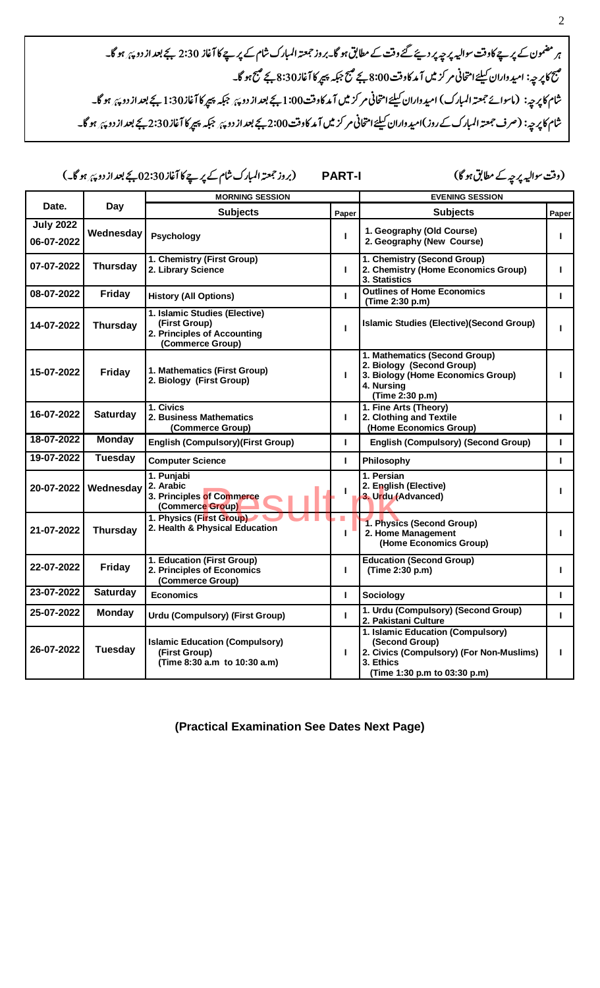ہر مضمون کے پرچے کاوقت سوالیہ پر چیرپر دیئے گئے وقت کے مطابق ہو گا۔بروز جمعتہ المبارک شام کے پر چے کا آغاز 2:30 بجے بعد از دو پئ ہو گا۔ مَنَعَ کا پِر حیہ: امید واران کیلئے امتحانی مر کز میں آ مد کاوفت 8:00 بچے منبج مرد 345 بچے منبج ہو گا۔<br>منبع کا پر حیہ: امید واران کیلئے امتحانی مر کز میں آ مد کاوفت 8:00 بچے منبج جبکہ پیپر کا آغاز 8:30 بچے منبج ہو .<br>شام کا پرچه: (ماسوائے جمعتہ المبارک) امیدواران کیلئے امتحانی مر کز میں آمد کاوقت1:00 بجے بعد از دوچہ از اور ا<br>میں ایک پرچہ: .<br>شام کا پرچه: (صرف جمعته المبارک کے روز )امید واران کیلئے امتحانی مر کزیں آمد کاوقت2:00 بجے بعد از دوچہ پر پر گ<br>شام کا پرچہ: (صرف جمعته المبارک کے روز )امید واران کیلئے امتحانی مر کزیں آمد کاوقت2:00 بچے بعد از دوچہ کے بع

- - -- **PART-I** "#\$ !-

(وقت سواليہ پر چہ کے مطابق ہو گا)

|                                |                 | <b>MORNING SESSION</b>                                                                            |                                                                                           | <b>EVENING SESSION</b>                                                                                                                       |       |  |
|--------------------------------|-----------------|---------------------------------------------------------------------------------------------------|-------------------------------------------------------------------------------------------|----------------------------------------------------------------------------------------------------------------------------------------------|-------|--|
| Date.                          | Day             | <b>Subjects</b><br>Paper                                                                          |                                                                                           | <b>Subjects</b>                                                                                                                              | Paper |  |
| <b>July 2022</b><br>06-07-2022 | Wednesday       | Psychology                                                                                        |                                                                                           | 1. Geography (Old Course)<br>2. Geography (New Course)                                                                                       |       |  |
| 07-07-2022                     | <b>Thursday</b> | 1. Chemistry (First Group)<br>2. Library Science                                                  | 1. Chemistry (Second Group)<br>2. Chemistry (Home Economics Group)<br>I.<br>3. Statistics |                                                                                                                                              | г     |  |
| 08-07-2022                     | <b>Friday</b>   | <b>History (All Options)</b>                                                                      | П                                                                                         | <b>Outlines of Home Economics</b><br>(Time 2:30 p.m)                                                                                         |       |  |
| 14-07-2022                     | <b>Thursday</b> | 1. Islamic Studies (Elective)<br>(First Group)<br>2. Principles of Accounting<br>(Commerce Group) | т                                                                                         | Islamic Studies (Elective)(Second Group)                                                                                                     |       |  |
| 15-07-2022                     | Friday          | 1. Mathematics (First Group)<br>2. Biology (First Group)                                          | $\mathbf{L}$                                                                              | 1. Mathematics (Second Group)<br>2. Biology (Second Group)<br>3. Biology (Home Economics Group)<br>4. Nursing<br>(Time 2:30 p.m)             | н     |  |
| 16-07-2022                     | <b>Saturday</b> | 1. Civics<br>2. Business Mathematics<br>(Commerce Group)                                          | $\mathbf{L}$                                                                              | 1. Fine Arts (Theory)<br>2. Clothing and Textile<br>(Home Economics Group)                                                                   |       |  |
| 18-07-2022                     | <b>Monday</b>   | <b>English (Compulsory) (First Group)</b>                                                         | $\mathbf{L}$                                                                              | <b>English (Compulsory) (Second Group)</b>                                                                                                   | г     |  |
| 19-07-2022                     | <b>Tuesday</b>  | <b>Computer Science</b>                                                                           | L                                                                                         | Philosophy                                                                                                                                   | г     |  |
| 20-07-2022                     | Wednesday       | 1. Punjabi<br>2. Arabic<br>3. Principles of Commerce<br>(Commerce Group)                          | п                                                                                         | 1. Persian<br>2. English (Elective)<br>3. Urdu (Advanced)                                                                                    | L     |  |
| 21-07-2022                     | <b>Thursday</b> | 1. Physics (First Group)<br>2. Health & Physical Education                                        | $\mathbf{I}$                                                                              | 1. Physics (Second Group)<br>2. Home Management<br>(Home Economics Group)                                                                    |       |  |
| 22-07-2022                     | <b>Friday</b>   | 1. Education (First Group)<br>2. Principles of Economics<br>(Commerce Group)                      | $\mathbf{L}$                                                                              | <b>Education (Second Group)</b><br>(Time 2:30 p.m)                                                                                           |       |  |
| 23-07-2022                     | <b>Saturday</b> | <b>Economics</b>                                                                                  | $\mathbf{L}$                                                                              | Sociology                                                                                                                                    | т     |  |
| 25-07-2022                     | <b>Monday</b>   | <b>Urdu (Compulsory) (First Group)</b>                                                            | $\mathbf{L}$                                                                              | 1. Urdu (Compulsory) (Second Group)<br>2. Pakistani Culture                                                                                  | L     |  |
| 26-07-2022                     | <b>Tuesday</b>  | <b>Islamic Education (Compulsory)</b><br>(First Group)<br>(Time 8:30 a.m to 10:30 a.m)            | П                                                                                         | 1. Islamic Education (Compulsory)<br>(Second Group)<br>2. Civics (Compulsory) (For Non-Muslims)<br>3. Ethics<br>(Time 1:30 p.m to 03:30 p.m) | п     |  |

**(Practical Examination See Dates Next Page)**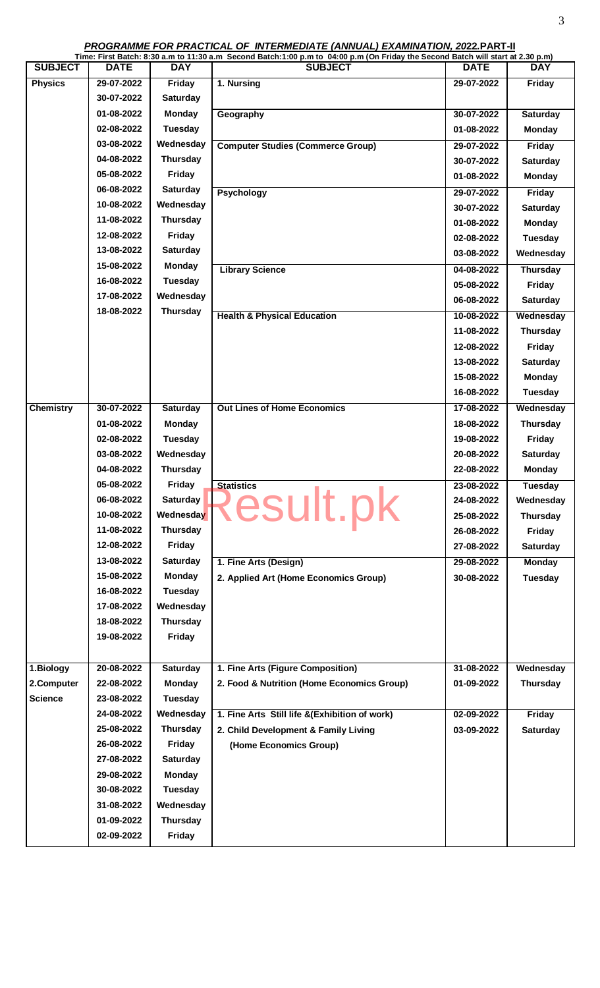**PROGRAMME FOR PRACTICAL OF INTERMEDIATE (ANNUAL) EXAMINATION, 2022.PART-II**

|                  |             |                 | Time: First Batch: 8:30 a.m to 11:30 a.m Second Batch:1:00 p.m to 04:00 p.m (On Friday the Second Batch will start at 2.30 p.m) |             |                 |
|------------------|-------------|-----------------|---------------------------------------------------------------------------------------------------------------------------------|-------------|-----------------|
| <b>SUBJECT</b>   | <b>DATE</b> | <b>DAY</b>      | <b>SUBJECT</b>                                                                                                                  | <b>DATE</b> | <b>DAY</b>      |
| <b>Physics</b>   | 29-07-2022  | <b>Friday</b>   | 1. Nursing                                                                                                                      | 29-07-2022  | Friday          |
|                  | 30-07-2022  | <b>Saturday</b> |                                                                                                                                 |             |                 |
|                  | 01-08-2022  | <b>Monday</b>   | Geography                                                                                                                       | 30-07-2022  | Saturday        |
|                  | 02-08-2022  | <b>Tuesday</b>  |                                                                                                                                 | 01-08-2022  | <b>Monday</b>   |
|                  | 03-08-2022  | Wednesday       | <b>Computer Studies (Commerce Group)</b>                                                                                        | 29-07-2022  | Friday          |
|                  | 04-08-2022  | <b>Thursday</b> |                                                                                                                                 | 30-07-2022  | <b>Saturday</b> |
|                  | 05-08-2022  | <b>Friday</b>   |                                                                                                                                 | 01-08-2022  | <b>Monday</b>   |
|                  | 06-08-2022  | Saturday        | <b>Psychology</b>                                                                                                               | 29-07-2022  | Friday          |
|                  | 10-08-2022  | Wednesday       |                                                                                                                                 | 30-07-2022  | Saturday        |
|                  | 11-08-2022  | <b>Thursday</b> |                                                                                                                                 | 01-08-2022  | <b>Monday</b>   |
|                  | 12-08-2022  | <b>Friday</b>   |                                                                                                                                 | 02-08-2022  | <b>Tuesday</b>  |
|                  | 13-08-2022  | Saturday        |                                                                                                                                 | 03-08-2022  | Wednesday       |
|                  | 15-08-2022  | <b>Monday</b>   | <b>Library Science</b>                                                                                                          | 04-08-2022  | <b>Thursday</b> |
|                  | 16-08-2022  | <b>Tuesday</b>  |                                                                                                                                 | 05-08-2022  | Friday          |
|                  | 17-08-2022  | Wednesday       |                                                                                                                                 | 06-08-2022  | Saturday        |
|                  | 18-08-2022  | <b>Thursday</b> | <b>Health &amp; Physical Education</b>                                                                                          | 10-08-2022  | Wednesday       |
|                  |             |                 |                                                                                                                                 | 11-08-2022  | <b>Thursday</b> |
|                  |             |                 |                                                                                                                                 | 12-08-2022  | Friday          |
|                  |             |                 |                                                                                                                                 | 13-08-2022  | Saturday        |
|                  |             |                 |                                                                                                                                 | 15-08-2022  | <b>Monday</b>   |
|                  |             |                 |                                                                                                                                 | 16-08-2022  | <b>Tuesday</b>  |
| <b>Chemistry</b> | 30-07-2022  | Saturday        | <b>Out Lines of Home Economics</b>                                                                                              | 17-08-2022  | Wednesday       |
|                  | 01-08-2022  | Monday          |                                                                                                                                 | 18-08-2022  | <b>Thursday</b> |
|                  | 02-08-2022  | <b>Tuesday</b>  |                                                                                                                                 | 19-08-2022  | Friday          |
|                  | 03-08-2022  | Wednesday       |                                                                                                                                 | 20-08-2022  | <b>Saturday</b> |
|                  | 04-08-2022  | <b>Thursday</b> |                                                                                                                                 | 22-08-2022  | Monday          |
|                  | 05-08-2022  | Friday          | <b>Statistics</b>                                                                                                               | 23-08-2022  | <b>Tuesday</b>  |
|                  | 06-08-2022  | <b>Saturday</b> |                                                                                                                                 | 24-08-2022  | Wednesday       |
|                  | 10-08-2022  | Wednesday       | Result.pk                                                                                                                       | 25-08-2022  | <b>Thursday</b> |
|                  | 11-08-2022  | <b>Thursday</b> |                                                                                                                                 | 26-08-2022  | Friday          |
|                  | 12-08-2022  | <b>Friday</b>   |                                                                                                                                 | 27-08-2022  | <b>Saturday</b> |
|                  | 13-08-2022  | <b>Saturday</b> | 1. Fine Arts (Design)                                                                                                           | 29-08-2022  | <b>Monday</b>   |
|                  | 15-08-2022  | <b>Monday</b>   | 2. Applied Art (Home Economics Group)                                                                                           | 30-08-2022  | <b>Tuesday</b>  |
|                  | 16-08-2022  | <b>Tuesday</b>  |                                                                                                                                 |             |                 |
|                  | 17-08-2022  | Wednesday       |                                                                                                                                 |             |                 |
|                  | 18-08-2022  | <b>Thursday</b> |                                                                                                                                 |             |                 |
|                  | 19-08-2022  | <b>Friday</b>   |                                                                                                                                 |             |                 |
|                  |             |                 |                                                                                                                                 |             |                 |
| 1.Biology        | 20-08-2022  | <b>Saturday</b> | 1. Fine Arts (Figure Composition)                                                                                               | 31-08-2022  | Wednesday       |
| 2.Computer       | 22-08-2022  | <b>Monday</b>   | 2. Food & Nutrition (Home Economics Group)                                                                                      | 01-09-2022  | <b>Thursday</b> |
| <b>Science</b>   | 23-08-2022  | <b>Tuesday</b>  |                                                                                                                                 |             |                 |
|                  | 24-08-2022  | Wednesday       | 1. Fine Arts Still life &(Exhibition of work)                                                                                   | 02-09-2022  | Friday          |
|                  | 25-08-2022  | <b>Thursday</b> | 2. Child Development & Family Living                                                                                            | 03-09-2022  | <b>Saturday</b> |
|                  | 26-08-2022  | Friday          | (Home Economics Group)                                                                                                          |             |                 |
|                  | 27-08-2022  | <b>Saturday</b> |                                                                                                                                 |             |                 |
|                  | 29-08-2022  | <b>Monday</b>   |                                                                                                                                 |             |                 |
|                  | 30-08-2022  | <b>Tuesday</b>  |                                                                                                                                 |             |                 |
|                  |             |                 |                                                                                                                                 |             |                 |
|                  | 31-08-2022  | Wednesday       |                                                                                                                                 |             |                 |
|                  | 01-09-2022  | <b>Thursday</b> |                                                                                                                                 |             |                 |
|                  | 02-09-2022  | Friday          |                                                                                                                                 |             |                 |